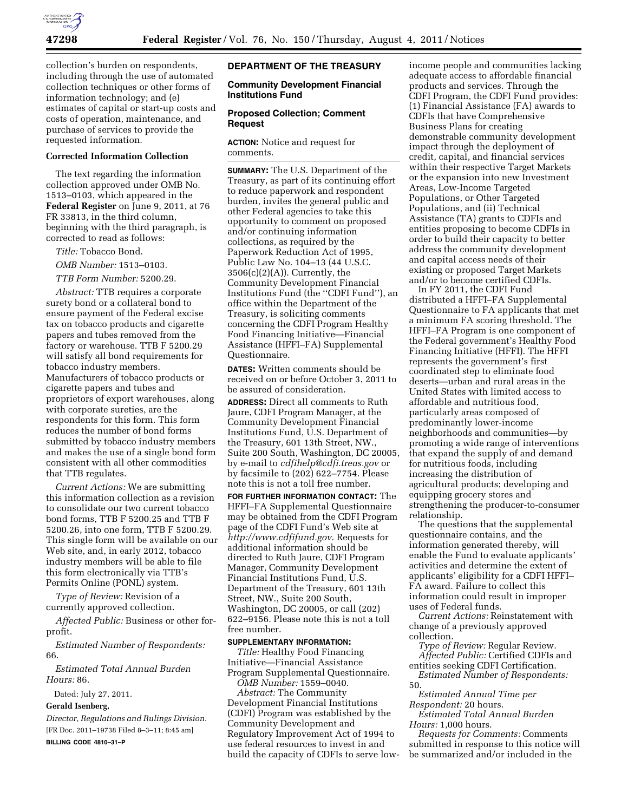

collection's burden on respondents, including through the use of automated collection techniques or other forms of information technology; and (e) estimates of capital or start-up costs and costs of operation, maintenance, and purchase of services to provide the requested information.

# **Corrected Information Collection**

The text regarding the information collection approved under OMB No. 1513–0103, which appeared in the **Federal Register** on June 9, 2011, at 76 FR 33813, in the third column, beginning with the third paragraph, is corrected to read as follows:

*Title:* Tobacco Bond.

*OMB Number:* 1513–0103.

*TTB Form Number:* 5200.29.

*Abstract:* TTB requires a corporate surety bond or a collateral bond to ensure payment of the Federal excise tax on tobacco products and cigarette papers and tubes removed from the factory or warehouse. TTB F 5200.29 will satisfy all bond requirements for tobacco industry members. Manufacturers of tobacco products or cigarette papers and tubes and proprietors of export warehouses, along with corporate sureties, are the respondents for this form. This form reduces the number of bond forms submitted by tobacco industry members and makes the use of a single bond form consistent with all other commodities that TTB regulates.

*Current Actions:* We are submitting this information collection as a revision to consolidate our two current tobacco bond forms, TTB F 5200.25 and TTB F 5200.26, into one form, TTB F 5200.29. This single form will be available on our Web site, and, in early 2012, tobacco industry members will be able to file this form electronically via TTB's Permits Online (PONL) system.

*Type of Review:* Revision of a currently approved collection.

*Affected Public:* Business or other forprofit.

*Estimated Number of Respondents:*  66.

*Estimated Total Annual Burden Hours:* 86.

Dated: July 27, 2011.

#### **Gerald Isenberg,**

*Director, Regulations and Rulings Division.*  [FR Doc. 2011–19738 Filed 8–3–11; 8:45 am] **BILLING CODE 4810–31–P** 

## **DEPARTMENT OF THE TREASURY**

#### **Community Development Financial Institutions Fund**

### **Proposed Collection; Comment Request**

**ACTION:** Notice and request for comments.

**SUMMARY:** The U.S. Department of the Treasury, as part of its continuing effort to reduce paperwork and respondent burden, invites the general public and other Federal agencies to take this opportunity to comment on proposed and/or continuing information collections, as required by the Paperwork Reduction Act of 1995, Public Law No. 104–13 (44 U.S.C. 3506(c)(2)(A)). Currently, the Community Development Financial Institutions Fund (the ''CDFI Fund''), an office within the Department of the Treasury, is soliciting comments concerning the CDFI Program Healthy Food Financing Initiative—Financial Assistance (HFFI–FA) Supplemental Questionnaire.

**DATES:** Written comments should be received on or before October 3, 2011 to be assured of consideration.

**ADDRESS:** Direct all comments to Ruth Jaure, CDFI Program Manager, at the Community Development Financial Institutions Fund, U.S. Department of the Treasury, 601 13th Street, NW., Suite 200 South, Washington, DC 20005, by e-mail to *[cdfihelp@cdfi.treas.gov](mailto:cdfihelp@cdfi.treas.gov)* or by facsimile to (202) 622–7754. Please note this is not a toll free number.

**FOR FURTHER INFORMATION CONTACT:** The HFFI–FA Supplemental Questionnaire may be obtained from the CDFI Program page of the CDFI Fund's Web site at *<http://www.cdfifund.gov>*. Requests for additional information should be directed to Ruth Jaure, CDFI Program Manager, Community Development Financial Institutions Fund, U.S. Department of the Treasury, 601 13th Street, NW., Suite 200 South, Washington, DC 20005, or call (202) 622–9156. Please note this is not a toll free number.

#### **SUPPLEMENTARY INFORMATION:**

*Title:* Healthy Food Financing Initiative—Financial Assistance Program Supplemental Questionnaire.

*OMB Number:* 1559–0040. *Abstract:* The Community Development Financial Institutions (CDFI) Program was established by the Community Development and Regulatory Improvement Act of 1994 to use federal resources to invest in and build the capacity of CDFIs to serve low-

income people and communities lacking adequate access to affordable financial products and services. Through the CDFI Program, the CDFI Fund provides: (1) Financial Assistance (FA) awards to CDFIs that have Comprehensive Business Plans for creating demonstrable community development impact through the deployment of credit, capital, and financial services within their respective Target Markets or the expansion into new Investment Areas, Low-Income Targeted Populations, or Other Targeted Populations, and (ii) Technical Assistance (TA) grants to CDFIs and entities proposing to become CDFIs in order to build their capacity to better address the community development and capital access needs of their existing or proposed Target Markets and/or to become certified CDFIs.

In FY 2011, the CDFI Fund distributed a HFFI–FA Supplemental Questionnaire to FA applicants that met a minimum FA scoring threshold. The HFFI–FA Program is one component of the Federal government's Healthy Food Financing Initiative (HFFI). The HFFI represents the government's first coordinated step to eliminate food deserts—urban and rural areas in the United States with limited access to affordable and nutritious food, particularly areas composed of predominantly lower-income neighborhoods and communities—by promoting a wide range of interventions that expand the supply of and demand for nutritious foods, including increasing the distribution of agricultural products; developing and equipping grocery stores and strengthening the producer-to-consumer relationship.

The questions that the supplemental questionnaire contains, and the information generated thereby, will enable the Fund to evaluate applicants' activities and determine the extent of applicants' eligibility for a CDFI HFFI– FA award. Failure to collect this information could result in improper uses of Federal funds.

*Current Actions:* Reinstatement with change of a previously approved collection.

*Type of Review:* Regular Review. *Affected Public:* Certified CDFIs and entities seeking CDFI Certification.

*Estimated Number of Respondents:*  50.

*Estimated Annual Time per* 

*Respondent:* 20 hours. *Estimated Total Annual Burden Hours:* 1,000 hours.

*Requests for Comments:* Comments submitted in response to this notice will be summarized and/or included in the